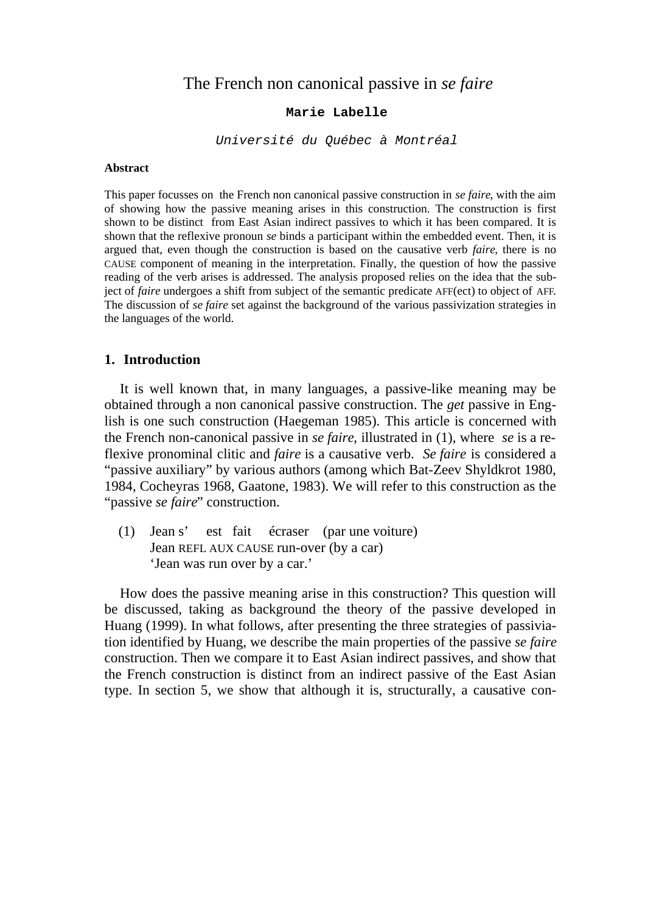# The French non canonical passive in *se faire*

### **Marie Labelle**

*Université du Québec à Montréal*

#### **Abstract**

This paper focusses on the French non canonical passive construction in *se faire*, with the aim of showing how the passive meaning arises in this construction. The construction is first shown to be distinct from East Asian indirect passives to which it has been compared. It is shown that the reflexive pronoun *se* binds a participant within the embedded event. Then, it is argued that, even though the construction is based on the causative verb *faire*, there is no CAUSE component of meaning in the interpretation. Finally, the question of how the passive reading of the verb arises is addressed. The analysis proposed relies on the idea that the subject of *faire* undergoes a shift from subject of the semantic predicate AFF(ect) to object of AFF. The discussion of *se faire* set against the background of the various passivization strategies in the languages of the world.

### **1. Introduction**

It is well known that, in many languages, a passive-like meaning may be obtained through a non canonical passive construction. The *get* passive in English is one such construction (Haegeman 1985). This article is concerned with the French non-canonical passive in *se faire*, illustrated in (1), where *se* is a reflexive pronominal clitic and *faire* is a causative verb. *Se faire* is considered a "passive auxiliary" by various authors (among which Bat-Zeev Shyldkrot 1980, 1984, Cocheyras 1968, Gaatone, 1983). We will refer to this construction as the "passive *se faire*" construction.

(1) Jean s' est fait écraser (par une voiture) Jean REFL AUX CAUSE run-over (by a car) 'Jean was run over by a car.'

How does the passive meaning arise in this construction? This question will be discussed, taking as background the theory of the passive developed in Huang (1999). In what follows, after presenting the three strategies of passiviation identified by Huang, we describe the main properties of the passive *se faire* construction. Then we compare it to East Asian indirect passives, and show that the French construction is distinct from an indirect passive of the East Asian type. In section 5, we show that although it is, structurally, a causative con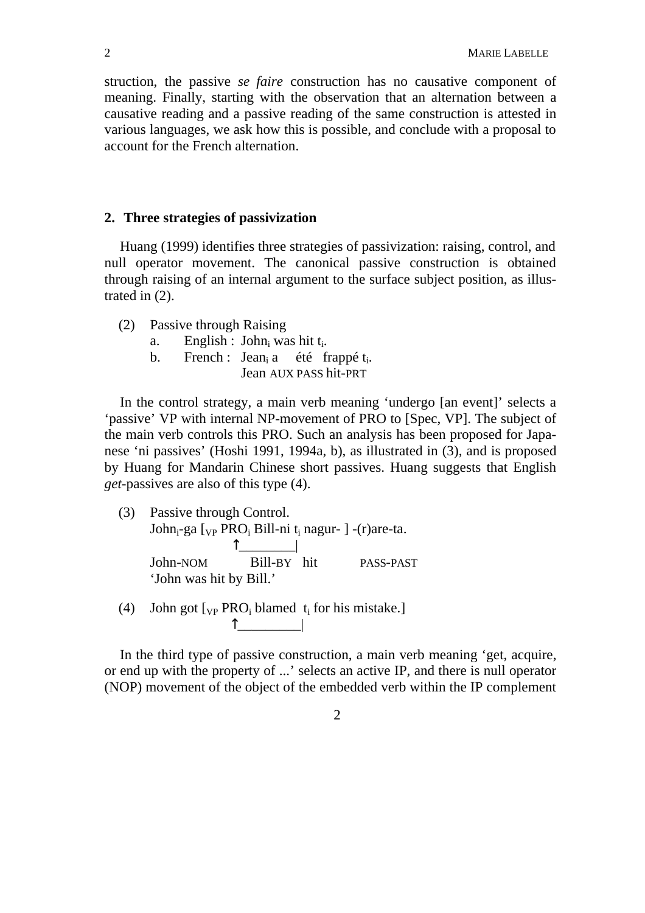struction, the passive *se faire* construction has no causative component of meaning. Finally, starting with the observation that an alternation between a causative reading and a passive reading of the same construction is attested in various languages, we ask how this is possible, and conclude with a proposal to account for the French alternation.

### **2. Three strategies of passivization**

Huang (1999) identifies three strategies of passivization: raising, control, and null operator movement. The canonical passive construction is obtained through raising of an internal argument to the surface subject position, as illustrated in (2).

- (2) Passive through Raising
	- a. English : John<sub>i</sub> was hit t<sub>i</sub>.
	- b. French : Jean<sub>i</sub> a été frappé t<sub>i</sub>. Jean AUX PASS hit-PRT

In the control strategy, a main verb meaning 'undergo [an event]' selects a 'passive' VP with internal NP-movement of PRO to [Spec, VP]. The subject of the main verb controls this PRO. Such an analysis has been proposed for Japanese 'ni passives' (Hoshi 1991, 1994a, b), as illustrated in (3), and is proposed by Huang for Mandarin Chinese short passives. Huang suggests that English *get*-passives are also of this type (4).

- (3) Passive through Control. John<sub>i</sub>-ga [<sub>VP</sub> PRO<sub>i</sub> Bill-ni t<sub>i</sub> nagur- ] -(r)are-ta.  $\overline{\phantom{a}}$ John-NOM Bill-BY hit PASS-PAST 'John was hit by Bill.'
- (4) John got  $[<sub>VP</sub> PRO<sub>i</sub> blamed t<sub>i</sub> for his mistake.]$ \_\_\_\_\_\_\_\_\_|

In the third type of passive construction, a main verb meaning 'get, acquire, or end up with the property of ...' selects an active IP, and there is null operator (NOP) movement of the object of the embedded verb within the IP complement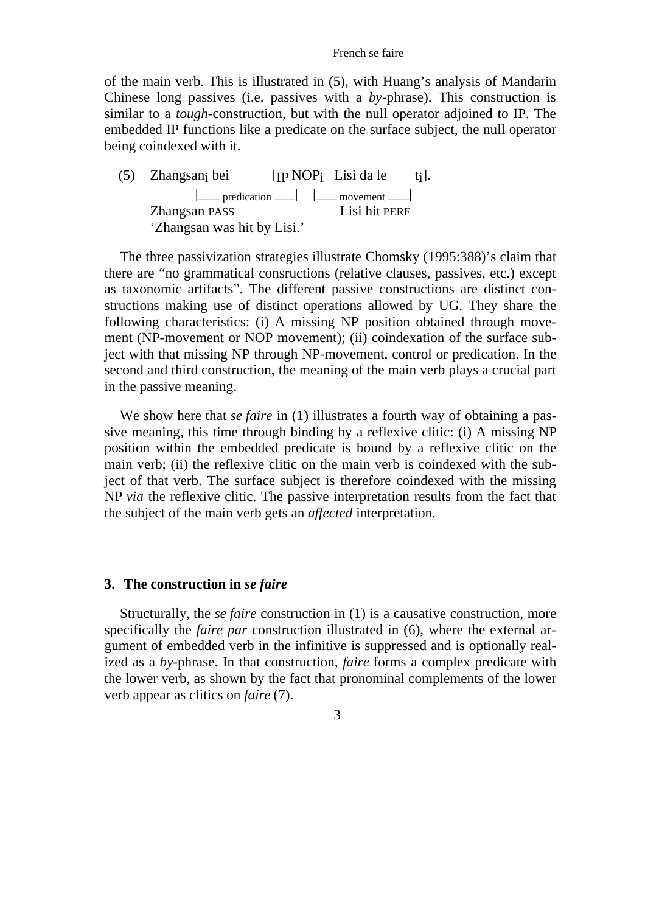#### French se faire

of the main verb. This is illustrated in (5), with Huang's analysis of Mandarin Chinese long passives (i.e. passives with a *by*-phrase). This construction is similar to a *tough*-construction, but with the null operator adjoined to IP. The embedded IP functions like a predicate on the surface subject, the null operator being coindexed with it.

(5) Zhangsani bei [IP NOP<sub>i</sub> Lisi da le t<sub>i</sub>].  $\vert$  predication  $\vert$   $\vert$   $\vert$  movement  $\vert$ Zhangsan PASS Lisi hit PERF 'Zhangsan was hit by Lisi.'

The three passivization strategies illustrate Chomsky (1995:388)'s claim that there are "no grammatical consructions (relative clauses, passives, etc.) except as taxonomic artifacts". The different passive constructions are distinct constructions making use of distinct operations allowed by UG. They share the following characteristics: (i) A missing NP position obtained through movement (NP-movement or NOP movement); (ii) coindexation of the surface subject with that missing NP through NP-movement, control or predication. In the second and third construction, the meaning of the main verb plays a crucial part in the passive meaning.

We show here that *se faire* in (1) illustrates a fourth way of obtaining a passive meaning, this time through binding by a reflexive clitic: (i) A missing NP position within the embedded predicate is bound by a reflexive clitic on the main verb; (ii) the reflexive clitic on the main verb is coindexed with the subject of that verb. The surface subject is therefore coindexed with the missing NP *via* the reflexive clitic. The passive interpretation results from the fact that the subject of the main verb gets an *affected* interpretation.

#### **3. The construction in** *se faire*

Structurally, the *se faire* construction in (1) is a causative construction, more specifically the *faire par* construction illustrated in (6), where the external argument of embedded verb in the infinitive is suppressed and is optionally realized as a *by*-phrase. In that construction, *faire* forms a complex predicate with the lower verb, as shown by the fact that pronominal complements of the lower verb appear as clitics on *faire* (7).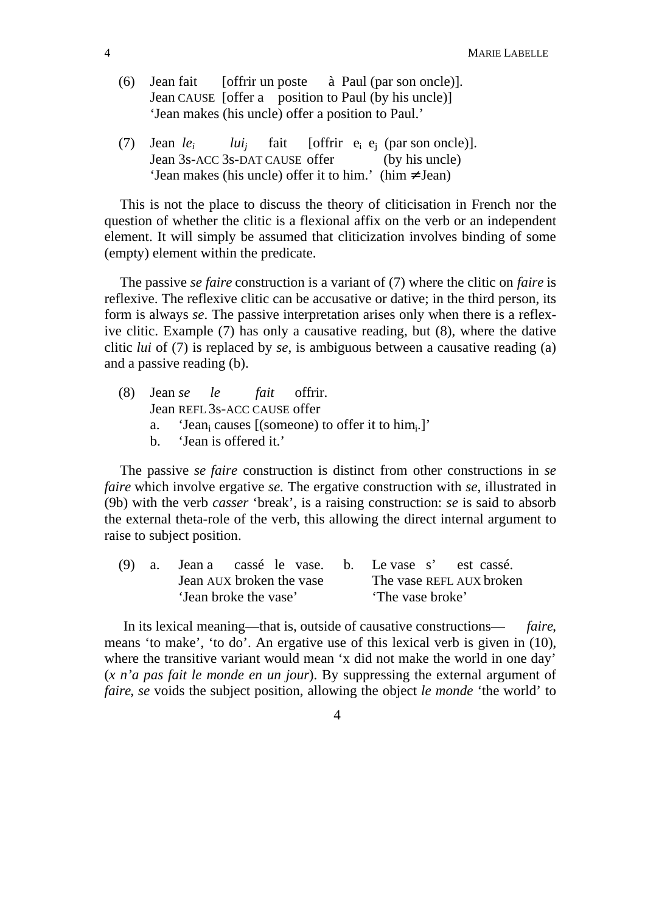- (6) Jean fait [offrir un poste à Paul (par son oncle)]. Jean CAUSE [offer a position to Paul (by his uncle)] 'Jean makes (his uncle) offer a position to Paul.'
- (7) Jean *le<sup>i</sup> lui<sup>j</sup>* fait [offrir  $e_i$   $e_j$  (par son oncle)]. Jean 3s-ACC 3s-DAT CAUSE offer (by his uncle) 'Jean makes (his uncle) offer it to him.' (him Jean)

This is not the place to discuss the theory of cliticisation in French nor the question of whether the clitic is a flexional affix on the verb or an independent element. It will simply be assumed that cliticization involves binding of some (empty) element within the predicate.

The passive *se faire* construction is a variant of (7) where the clitic on *faire* is reflexive. The reflexive clitic can be accusative or dative; in the third person, its form is always *se*. The passive interpretation arises only when there is a reflexive clitic. Example (7) has only a causative reading, but (8), where the dative clitic *lui* of (7) is replaced by *se*, is ambiguous between a causative reading (a) and a passive reading (b).

- (8) Jean *se le fait* offrir. Jean REFL 3s-ACC CAUSE offer
	- a. 'Jean<sub>i</sub> causes [(someone) to offer it to  $\lim_{i}$ .]'
	- b. 'Jean is offered it.'

The passive *se faire* construction is distinct from other constructions in *se faire* which involve ergative *se.* The ergative construction with *se*, illustrated in (9b) with the verb *casser* 'break', is a raising construction: *se* is said to absorb the external theta-role of the verb, this allowing the direct internal argument to raise to subject position.

|                       | (9) a. Jean a cassé le vase. b. Le vase s' est cassé. |  |                          |  |  |
|-----------------------|-------------------------------------------------------|--|--------------------------|--|--|
|                       | Jean AUX broken the vase                              |  | The vase REFL AUX broken |  |  |
| 'Jean broke the vase' |                                                       |  | 'The vase broke'         |  |  |

 In its lexical meaning—that is, outside of causative constructions— *faire*, means 'to make', 'to do'. An ergative use of this lexical verb is given in (10), where the transitive variant would mean 'x did not make the world in one day' (*x n'a pas fait le monde en un jour*). By suppressing the external argument of *faire*, *se* voids the subject position, allowing the object *le monde* 'the world' to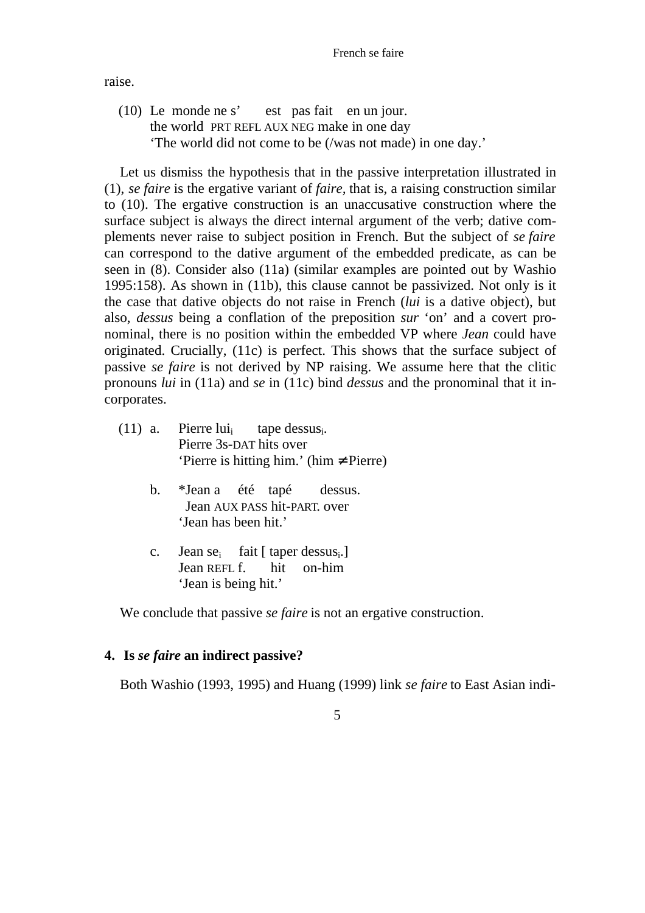raise.

(10) Le monde ne s' est pas fait en un jour. the world PRT REFL AUX NEG make in one day 'The world did not come to be (/was not made) in one day.'

Let us dismiss the hypothesis that in the passive interpretation illustrated in (1), *se faire* is the ergative variant of *faire,* that is, a raising construction similar to (10). The ergative construction is an unaccusative construction where the surface subject is always the direct internal argument of the verb; dative complements never raise to subject position in French. But the subject of *se faire* can correspond to the dative argument of the embedded predicate, as can be seen in (8). Consider also (11a) (similar examples are pointed out by Washio 1995:158). As shown in (11b), this clause cannot be passivized. Not only is it the case that dative objects do not raise in French (*lui* is a dative object), but also, *dessus* being a conflation of the preposition *sur* 'on' and a covert pronominal, there is no position within the embedded VP where *Jean* could have originated. Crucially, (11c) is perfect. This shows that the surface subject of passive *se faire* is not derived by NP raising. We assume here that the clitic pronouns *lui* in (11a) and *se* in (11c) bind *dessus* and the pronominal that it incorporates.

- $(11)$  a. Pierre lui<sub>i</sub> tape dessusi. Pierre 3s-DAT hits over 'Pierre is hitting him.' (him Pierre)
	- b. \*Jean a été tapé dessus. Jean AUX PASS hit-PART. over 'Jean has been hit.'
	- c. Jean se<sub>i</sub> fait [ taper dessus<sub>i</sub>.] Jean REFL f. hit on-him 'Jean is being hit.'

We conclude that passive *se faire* is not an ergative construction.

### **4. Is** *se faire* **an indirect passive?**

Both Washio (1993, 1995) and Huang (1999) link *se faire* to East Asian indi-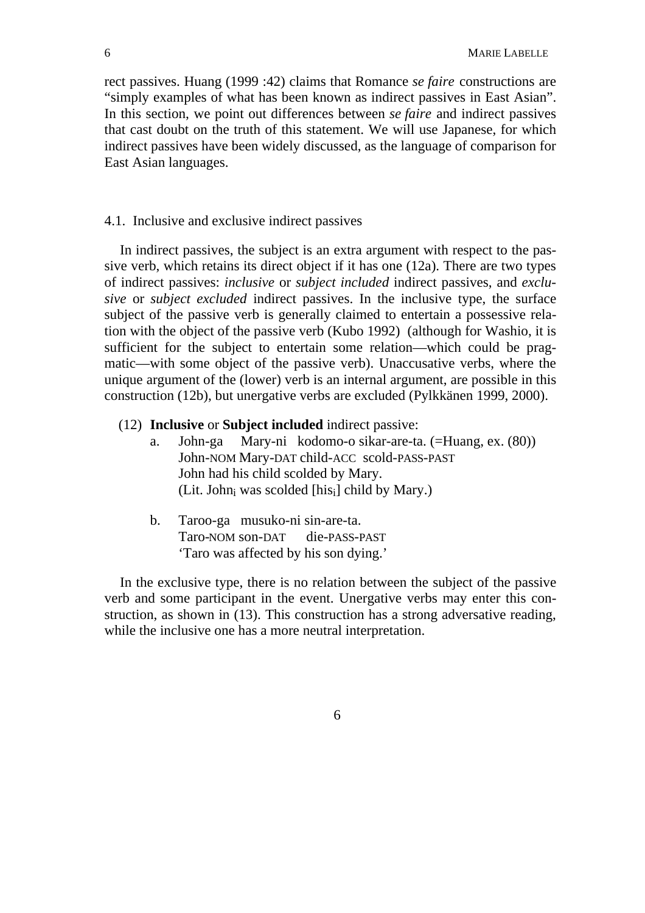rect passives. Huang (1999 :42) claims that Romance *se faire* constructions are "simply examples of what has been known as indirect passives in East Asian". In this section, we point out differences between *se faire* and indirect passives that cast doubt on the truth of this statement. We will use Japanese, for which indirect passives have been widely discussed, as the language of comparison for East Asian languages.

#### 4.1. Inclusive and exclusive indirect passives

In indirect passives, the subject is an extra argument with respect to the passive verb, which retains its direct object if it has one (12a). There are two types of indirect passives: *inclusive* or *subject included* indirect passives, and *exclusive* or *subject excluded* indirect passives. In the inclusive type, the surface subject of the passive verb is generally claimed to entertain a possessive relation with the object of the passive verb (Kubo 1992) (although for Washio, it is sufficient for the subject to entertain some relation—which could be pragmatic—with some object of the passive verb). Unaccusative verbs, where the unique argument of the (lower) verb is an internal argument, are possible in this construction (12b), but unergative verbs are excluded (Pylkkänen 1999, 2000).

#### (12) **Inclusive** or **Subject included** indirect passive:

- a. John-ga Mary-ni kodomo-o sikar-are-ta. (=Huang, ex. (80)) John-NOM Mary-DAT child-ACC scold-PASS-PAST John had his child scolded by Mary. (Lit. John<sub>i</sub> was scolded [his<sub>i</sub>] child by Mary.)
- b. Taroo-ga musuko-ni sin-are-ta. Taro-NOM son-DAT die-PASS-PAST 'Taro was affected by his son dying.'

In the exclusive type, there is no relation between the subject of the passive verb and some participant in the event. Unergative verbs may enter this construction, as shown in (13). This construction has a strong adversative reading, while the inclusive one has a more neutral interpretation.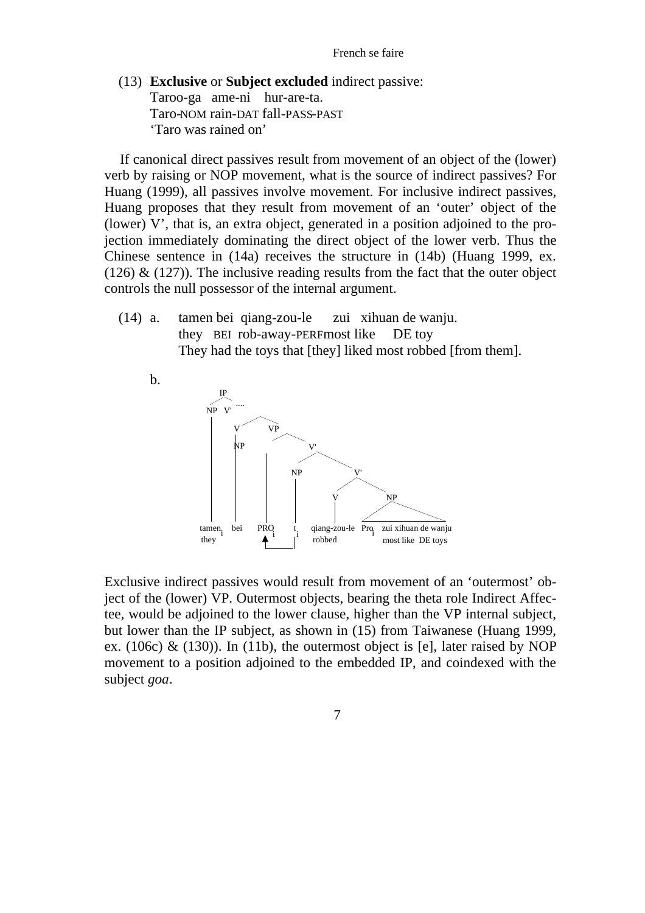(13) **Exclusive** or **Subject excluded** indirect passive: Taroo-ga ame-ni hur-are-ta. Taro-NOM rain-DAT fall-PASS-PAST 'Taro was rained on'

If canonical direct passives result from movement of an object of the (lower) verb by raising or NOP movement, what is the source of indirect passives? For Huang (1999), all passives involve movement. For inclusive indirect passives, Huang proposes that they result from movement of an 'outer' object of the (lower) V', that is, an extra object, generated in a position adjoined to the projection immediately dominating the direct object of the lower verb. Thus the Chinese sentence in (14a) receives the structure in (14b) (Huang 1999, ex. (126)  $\&$  (127)). The inclusive reading results from the fact that the outer object controls the null possessor of the internal argument.

(14) a. tamen bei qiang-zou-le zui xihuan de wanju. they BEI rob-away-PERFmost like DE toy They had the toys that [they] liked most robbed [from them].



Exclusive indirect passives would result from movement of an 'outermost' object of the (lower) VP. Outermost objects, bearing the theta role Indirect Affectee, would be adjoined to the lower clause, higher than the VP internal subject, but lower than the IP subject, as shown in (15) from Taiwanese (Huang 1999, ex. (106c) & (130)). In (11b), the outermost object is [e], later raised by NOP movement to a position adjoined to the embedded IP, and coindexed with the subject *goa*.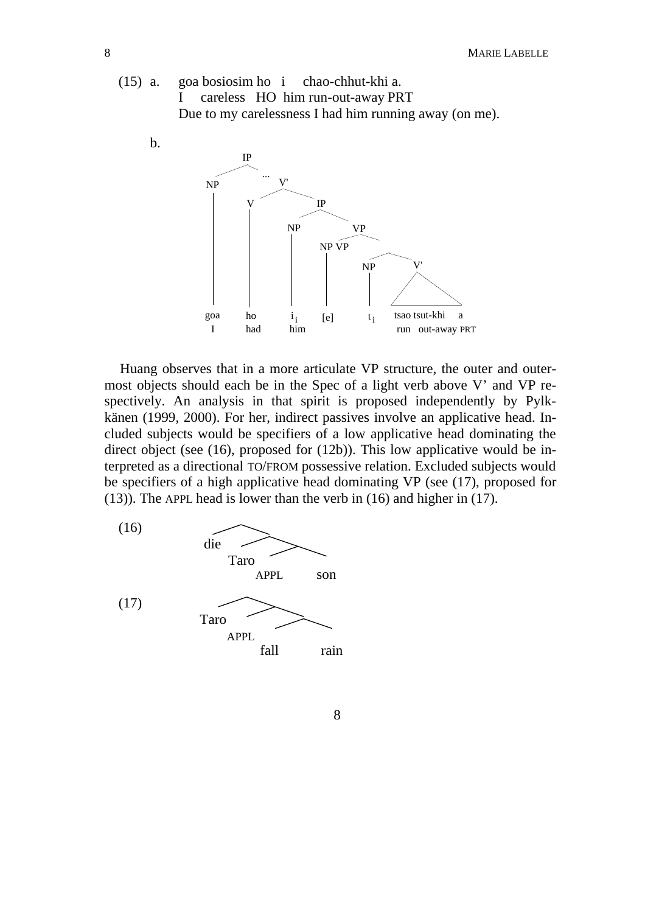



Huang observes that in a more articulate VP structure, the outer and outermost objects should each be in the Spec of a light verb above V' and VP respectively. An analysis in that spirit is proposed independently by Pylkkänen (1999, 2000). For her, indirect passives involve an applicative head. Included subjects would be specifiers of a low applicative head dominating the direct object (see (16), proposed for (12b)). This low applicative would be interpreted as a directional TO/FROM possessive relation. Excluded subjects would be specifiers of a high applicative head dominating VP (see (17), proposed for (13)). The APPL head is lower than the verb in (16) and higher in (17).



8

b.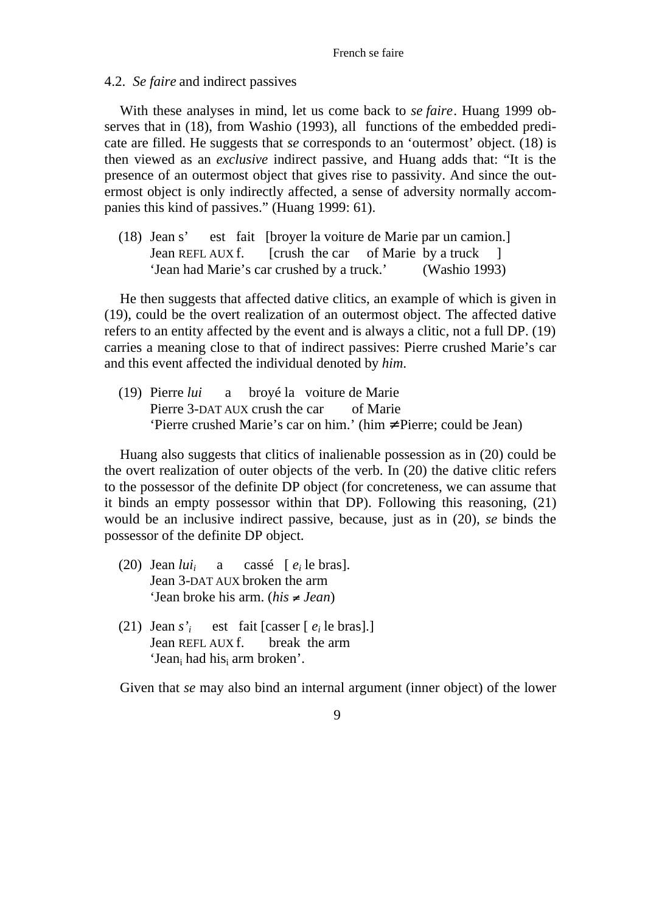#### 4.2. *Se faire* and indirect passives

With these analyses in mind, let us come back to *se faire*. Huang 1999 observes that in (18), from Washio (1993), all functions of the embedded predicate are filled. He suggests that *se* corresponds to an 'outermost' object. (18) is then viewed as an *exclusive* indirect passive, and Huang adds that: "It is the presence of an outermost object that gives rise to passivity. And since the outermost object is only indirectly affected, a sense of adversity normally accompanies this kind of passives." (Huang 1999: 61).

(18) Jean s' est fait [broyer la voiture de Marie par un camion.] Jean REFL AUX f. [crush the car of Marie by a truck ] 'Jean had Marie's car crushed by a truck.' (Washio 1993)

He then suggests that affected dative clitics, an example of which is given in (19), could be the overt realization of an outermost object. The affected dative refers to an entity affected by the event and is always a clitic, not a full DP. (19) carries a meaning close to that of indirect passives: Pierre crushed Marie's car and this event affected the individual denoted by *him*.

(19) Pierre *lui* a broyé la voiture de Marie Pierre 3-DAT AUX crush the car of Marie 'Pierre crushed Marie's car on him.' (him Pierre; could be Jean)

Huang also suggests that clitics of inalienable possession as in (20) could be the overt realization of outer objects of the verb. In (20) the dative clitic refers to the possessor of the definite DP object (for concreteness, we can assume that it binds an empty possessor within that DP). Following this reasoning, (21) would be an inclusive indirect passive, because, just as in (20), *se* binds the possessor of the definite DP object.

- $(20)$  Jean *lui*<sub>*i*</sub> a cassé [ $e_i$  le bras]. Jean 3-DAT AUX broken the arm 'Jean broke his arm. (*his Jean*)
- (21) Jean *s'<sup>i</sup>* est fait [casser [  $e_i$  le bras].] Jean REFL AUX f. break the arm 'Jean<sub>i</sub> had his<sub>i</sub> arm broken'.

Given that *se* may also bind an internal argument (inner object) of the lower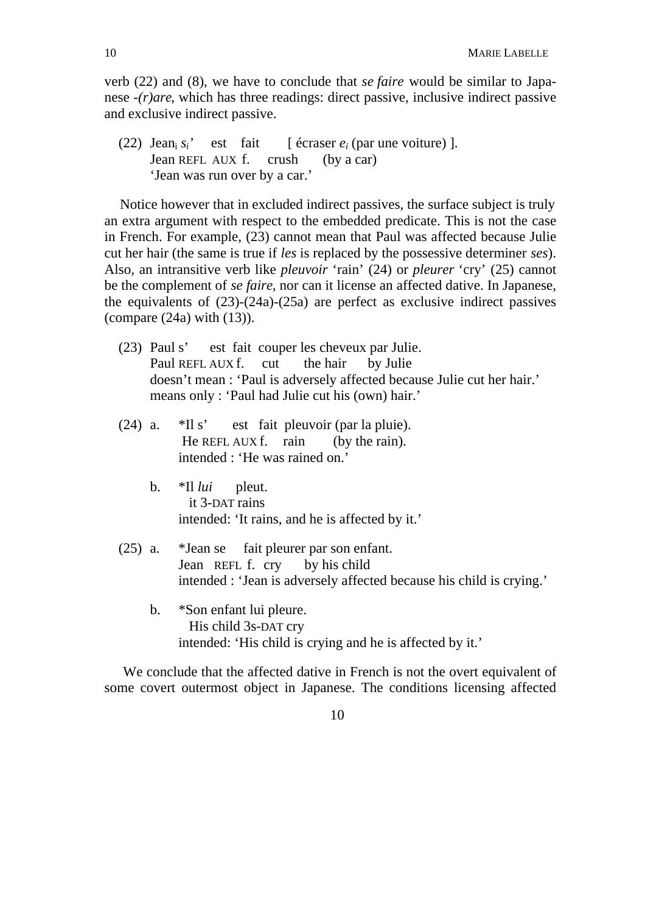verb (22) and (8), we have to conclude that *se faire* would be similar to Japanese *-(r)are*, which has three readings: direct passive, inclusive indirect passive and exclusive indirect passive.

 $(22)$  Jean<sub>i</sub>  $s_i$ <sup>'</sup> est fait [ écraser  $e_i$  (par une voiture) ]. Jean REFL AUX f. crush (by a car) 'Jean was run over by a car.'

Notice however that in excluded indirect passives, the surface subject is truly an extra argument with respect to the embedded predicate. This is not the case in French. For example, (23) cannot mean that Paul was affected because Julie cut her hair (the same is true if *les* is replaced by the possessive determiner *ses*). Also, an intransitive verb like *pleuvoir* 'rain' (24) or *pleurer* 'cry' (25) cannot be the complement of *se faire*, nor can it license an affected dative. In Japanese, the equivalents of (23)-(24a)-(25a) are perfect as exclusive indirect passives (compare (24a) with (13)).

- (23) Paul s' est fait couper les cheveux par Julie. Paul REFL AUX f. cut the hair by Julie doesn't mean : 'Paul is adversely affected because Julie cut her hair.' means only : 'Paul had Julie cut his (own) hair.'
- (24) a. \*Il s' est fait pleuvoir (par la pluie). He REFL AUX f. rain (by the rain). intended : 'He was rained on.'
	- b. \*Il *lui* pleut. it 3-DAT rains intended: 'It rains, and he is affected by it.'
- (25) a. \*Jean se fait pleurer par son enfant. Jean REFL f. cry by his child intended : 'Jean is adversely affected because his child is crying.'
	- b. \*Son enfant lui pleure. His child 3s-DAT cry intended: 'His child is crying and he is affected by it.'

We conclude that the affected dative in French is not the overt equivalent of some covert outermost object in Japanese. The conditions licensing affected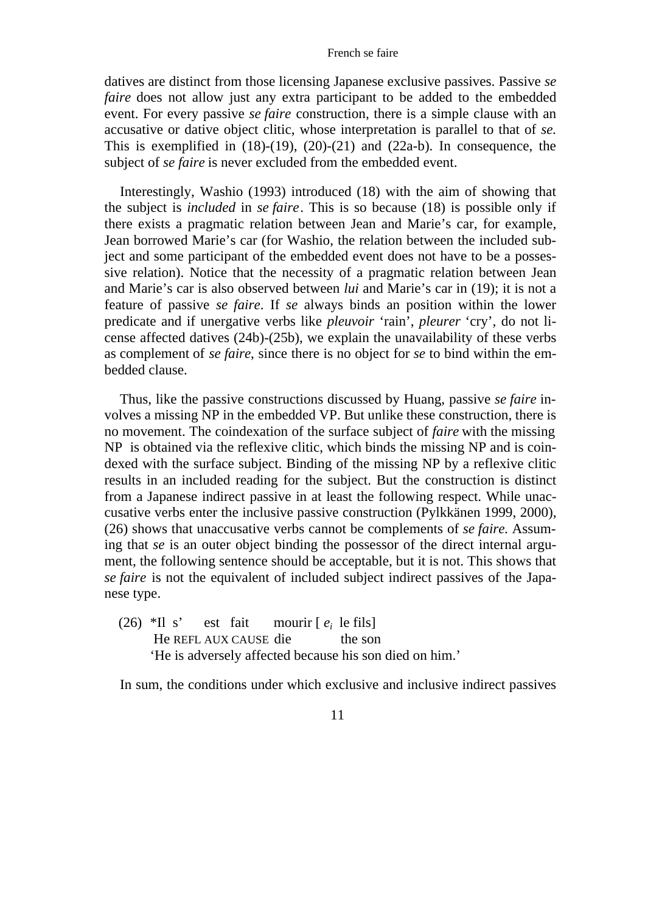#### French se faire

datives are distinct from those licensing Japanese exclusive passives. Passive *se faire* does not allow just any extra participant to be added to the embedded event. For every passive *se faire* construction, there is a simple clause with an accusative or dative object clitic, whose interpretation is parallel to that of *se.* This is exemplified in  $(18)-(19)$ ,  $(20)-(21)$  and  $(22a-b)$ . In consequence, the subject of *se faire* is never excluded from the embedded event.

Interestingly, Washio (1993) introduced (18) with the aim of showing that the subject is *included* in *se faire*. This is so because (18) is possible only if there exists a pragmatic relation between Jean and Marie's car, for example, Jean borrowed Marie's car (for Washio, the relation between the included subject and some participant of the embedded event does not have to be a possessive relation). Notice that the necessity of a pragmatic relation between Jean and Marie's car is also observed between *lui* and Marie's car in (19); it is not a feature of passive *se faire*. If *se* always binds an position within the lower predicate and if unergative verbs like *pleuvoir* 'rain', *pleurer* 'cry', do not license affected datives (24b)-(25b), we explain the unavailability of these verbs as complement of *se faire*, since there is no object for *se* to bind within the embedded clause.

Thus, like the passive constructions discussed by Huang, passive *se faire* involves a missing NP in the embedded VP. But unlike these construction, there is no movement. The coindexation of the surface subject of *faire* with the missing NP is obtained via the reflexive clitic, which binds the missing NP and is coindexed with the surface subject. Binding of the missing NP by a reflexive clitic results in an included reading for the subject. But the construction is distinct from a Japanese indirect passive in at least the following respect. While unaccusative verbs enter the inclusive passive construction (Pylkkänen 1999, 2000), (26) shows that unaccusative verbs cannot be complements of *se faire.* Assuming that *se* is an outer object binding the possessor of the direct internal argument, the following sentence should be acceptable, but it is not. This shows that *se faire* is not the equivalent of included subject indirect passives of the Japanese type.

 $(26)$  \*Il s' est fait mourir  $\lceil e_i \rceil$  le fils He REFL AUX CAUSE die the son 'He is adversely affected because his son died on him.'

In sum, the conditions under which exclusive and inclusive indirect passives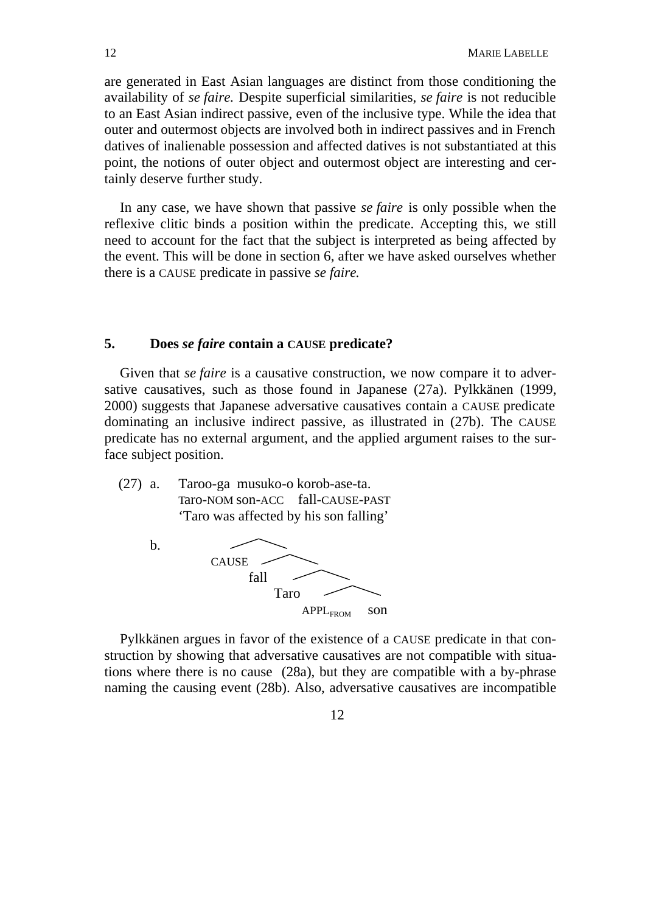are generated in East Asian languages are distinct from those conditioning the availability of *se faire.* Despite superficial similarities, *se faire* is not reducible to an East Asian indirect passive, even of the inclusive type. While the idea that outer and outermost objects are involved both in indirect passives and in French datives of inalienable possession and affected datives is not substantiated at this point, the notions of outer object and outermost object are interesting and certainly deserve further study.

In any case, we have shown that passive *se faire* is only possible when the reflexive clitic binds a position within the predicate. Accepting this, we still need to account for the fact that the subject is interpreted as being affected by the event. This will be done in section 6, after we have asked ourselves whether there is a CAUSE predicate in passive *se faire*.

### **5. Does** *se faire* **contain a CAUSE predicate?**

Given that *se faire* is a causative construction, we now compare it to adversative causatives, such as those found in Japanese (27a). Pylkkänen (1999, 2000) suggests that Japanese adversative causatives contain a CAUSE predicate dominating an inclusive indirect passive, as illustrated in (27b). The CAUSE predicate has no external argument, and the applied argument raises to the surface subject position.

(27) a. Taroo-ga musuko-o korob-ase-ta. Taro-NOM son-ACC fall-CAUSE-PAST 'Taro was affected by his son falling'



Pylkkänen argues in favor of the existence of a CAUSE predicate in that construction by showing that adversative causatives are not compatible with situations where there is no cause (28a), but they are compatible with a by-phrase naming the causing event (28b). Also, adversative causatives are incompatible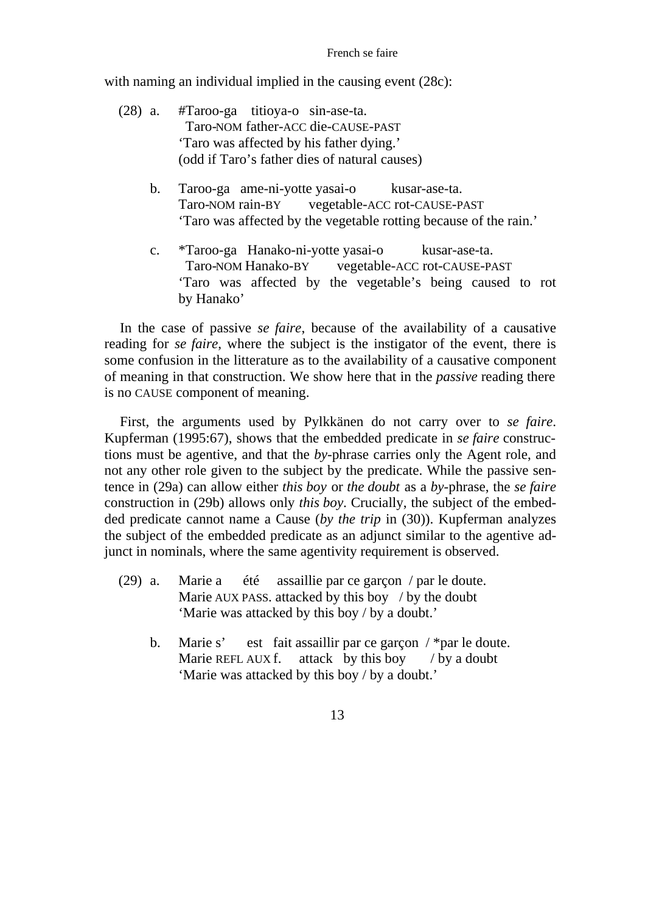with naming an individual implied in the causing event  $(28c)$ :

- (28) a. #Taroo-ga titioya-o sin-ase-ta. Taro-NOM father-ACC die-CAUSE-PAST 'Taro was affected by his father dying.' (odd if Taro's father dies of natural causes)
	- b. Taroo-ga ame-ni-yotte yasai-o kusar-ase-ta. Taro-NOM rain-BY vegetable-ACC rot-CAUSE-PAST 'Taro was affected by the vegetable rotting because of the rain.'
	- c. \*Taroo-ga Hanako-ni-yotte yasai-o kusar-ase-ta. Taro-NOM Hanako-BY vegetable-ACC rot-CAUSE-PAST 'Taro was affected by the vegetable's being caused to rot by Hanako'

In the case of passive *se faire*, because of the availability of a causative reading for *se faire*, where the subject is the instigator of the event, there is some confusion in the litterature as to the availability of a causative component of meaning in that construction. We show here that in the *passive* reading there is no CAUSE component of meaning.

First, the arguments used by Pylkkänen do not carry over to *se faire*. Kupferman (1995:67), shows that the embedded predicate in *se faire* constructions must be agentive, and that the *by*-phrase carries only the Agent role, and not any other role given to the subject by the predicate. While the passive sentence in (29a) can allow either *this boy* or *the doubt* as a *by*-phrase, the *se faire* construction in (29b) allows only *this boy*. Crucially, the subject of the embedded predicate cannot name a Cause (*by the trip* in (30)). Kupferman analyzes the subject of the embedded predicate as an adjunct similar to the agentive adjunct in nominals, where the same agentivity requirement is observed.

- (29) a. Marie a été assaillie par ce garçon / par le doute. Marie AUX PASS. attacked by this boy / by the doubt 'Marie was attacked by this boy / by a doubt.'
	- b. Marie s' est fait assaillir par ce garçon / \*par le doute. Marie REFL AUX f. attack by this boy / by a doubt 'Marie was attacked by this boy / by a doubt.'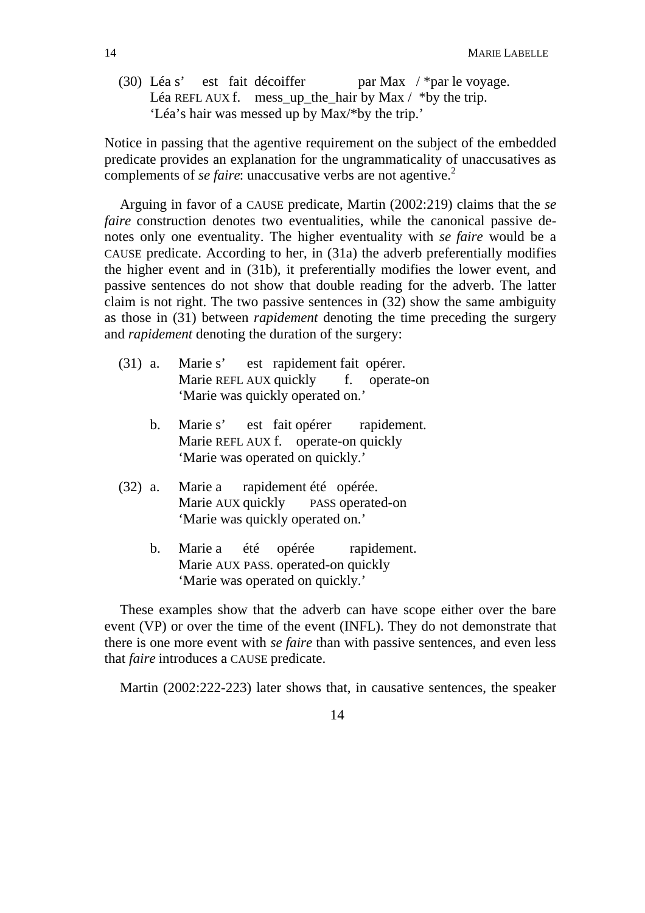(30) Léa s' est fait décoiffer par Max / \*par le voyage. Léa REFL AUX f. mess\_up\_the\_hair by Max  $/$  \*by the trip. 'Léa's hair was messed up by Max/\*by the trip.'

Notice in passing that the agentive requirement on the subject of the embedded predicate provides an explanation for the ungrammaticality of unaccusatives as complements of *se faire*: unaccusative verbs are not agentive.<sup>2</sup>

Arguing in favor of a CAUSE predicate, Martin (2002:219) claims that the *se faire* construction denotes two eventualities, while the canonical passive denotes only one eventuality. The higher eventuality with *se faire* would be a CAUSE predicate. According to her, in (31a) the adverb preferentially modifies the higher event and in (31b), it preferentially modifies the lower event, and passive sentences do not show that double reading for the adverb. The latter claim is not right. The two passive sentences in (32) show the same ambiguity as those in (31) between *rapidement* denoting the time preceding the surgery and *rapidement* denoting the duration of the surgery:

- (31) a. Marie s' est rapidement fait opérer. Marie REFL AUX quickly f. operate-on 'Marie was quickly operated on.'
	- b. Marie s' est fait opérer rapidement. Marie REFL AUX f. operate-on quickly 'Marie was operated on quickly.'
- (32) a. Marie a rapidement été opérée. Marie AUX quickly PASS operated-on 'Marie was quickly operated on.'
	- b. Marie a été opérée rapidement. Marie AUX PASS. operated-on quickly 'Marie was operated on quickly.'

These examples show that the adverb can have scope either over the bare event (VP) or over the time of the event (INFL). They do not demonstrate that there is one more event with *se faire* than with passive sentences, and even less that *faire* introduces a CAUSE predicate.

Martin (2002:222-223) later shows that, in causative sentences, the speaker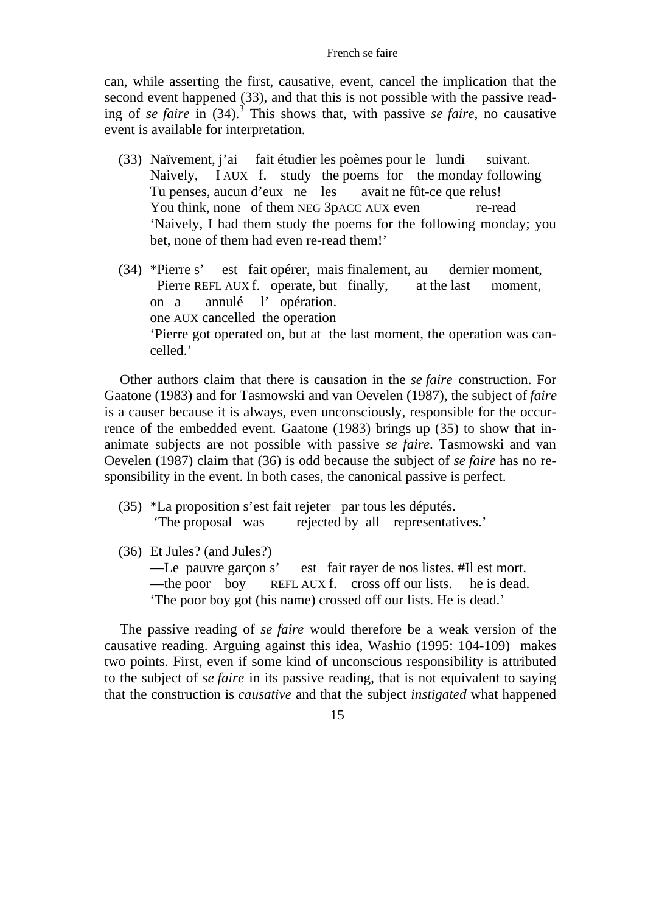can, while asserting the first, causative, event, cancel the implication that the second event happened (33), and that this is not possible with the passive reading of *se faire* in (34).<sup>3</sup> This shows that, with passive *se faire*, no causative event is available for interpretation.

- (33) Naïvement, j'ai fait étudier les poèmes pour le lundi suivant. Naively, I AUX f. study the poems for the monday following Tu penses, aucun d'eux ne les avait ne fût-ce que relus! You think, none of them NEG 3pACC AUX even re-read 'Naively, I had them study the poems for the following monday; you bet, none of them had even re-read them!'
- (34) \*Pierre s' est fait opérer, mais finalement, au dernier moment, Pierre REFL AUX f. operate, but finally, at the last moment, on a annulé l' opération. one AUX cancelled the operation 'Pierre got operated on, but at the last moment, the operation was cancelled.'

Other authors claim that there is causation in the *se faire* construction. For Gaatone (1983) and for Tasmowski and van Oevelen (1987), the subject of *faire* is a causer because it is always, even unconsciously, responsible for the occurrence of the embedded event. Gaatone (1983) brings up (35) to show that inanimate subjects are not possible with passive *se faire*. Tasmowski and van Oevelen (1987) claim that (36) is odd because the subject of *se faire* has no responsibility in the event. In both cases, the canonical passive is perfect.

- (35) \*La proposition s'est fait rejeter par tous les députés. 'The proposal was rejected by all representatives.'
- (36) Et Jules? (and Jules?) —Le pauvre garçon s' est fait rayer de nos listes. #Il est mort. —the poor boy REFL AUX f. cross off our lists. he is dead. 'The poor boy got (his name) crossed off our lists. He is dead.'

The passive reading of *se faire* would therefore be a weak version of the causative reading. Arguing against this idea, Washio (1995: 104-109) makes two points. First, even if some kind of unconscious responsibility is attributed to the subject of *se faire* in its passive reading, that is not equivalent to saying that the construction is *causative* and that the subject *instigated* what happened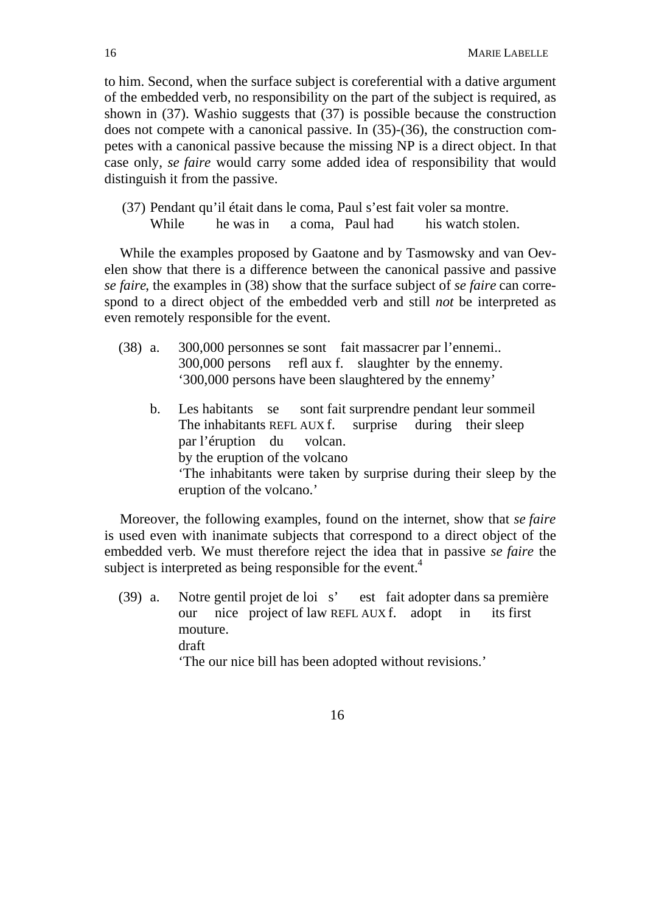to him. Second, when the surface subject is coreferential with a dative argument of the embedded verb, no responsibility on the part of the subject is required, as shown in (37). Washio suggests that (37) is possible because the construction does not compete with a canonical passive. In (35)-(36), the construction competes with a canonical passive because the missing NP is a direct object. In that case only, *se faire* would carry some added idea of responsibility that would distinguish it from the passive.

 (37) Pendant qu'il était dans le coma, Paul s'est fait voler sa montre. While he was in a coma. Paul had his watch stolen.

While the examples proposed by Gaatone and by Tasmowsky and van Oevelen show that there is a difference between the canonical passive and passive *se faire*, the examples in (38) show that the surface subject of *se faire* can correspond to a direct object of the embedded verb and still *not* be interpreted as even remotely responsible for the event.

- (38) a. 300,000 personnes se sont fait massacrer par l'ennemi.. 300,000 persons refl aux f. slaughter by the ennemy. '300,000 persons have been slaughtered by the ennemy'
	- b. Les habitants se sont fait surprendre pendant leur sommeil The inhabitants REFL AUX f. surprise during their sleep par l'éruption du volcan. by the eruption of the volcano 'The inhabitants were taken by surprise during their sleep by the eruption of the volcano.'

Moreover, the following examples, found on the internet, show that *se faire* is used even with inanimate subjects that correspond to a direct object of the embedded verb. We must therefore reject the idea that in passive *se faire* the subject is interpreted as being responsible for the event.<sup>4</sup>

(39) a. Notre gentil projet de loi s' est fait adopter dans sa première our nice project of law REFL AUX f. adopt in its first mouture. draft 'The our nice bill has been adopted without revisions.'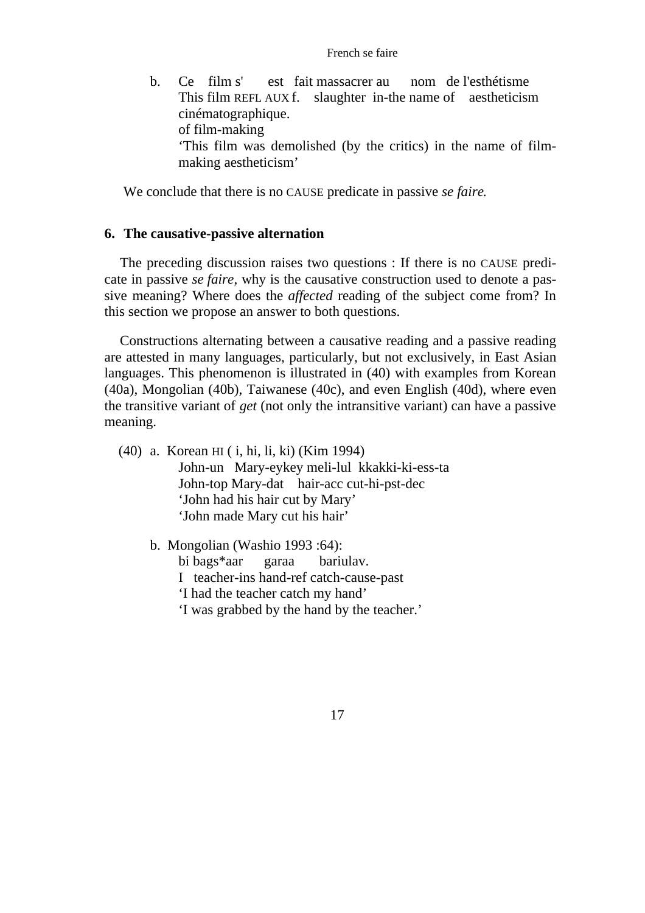#### French se faire

b. Ce film s' est fait massacrer au nom de l'esthétisme This film REFL AUX f. slaughter in-the name of aestheticism cinématographique. of film-making 'This film was demolished (by the critics) in the name of filmmaking aestheticism'

We conclude that there is no CAUSE predicate in passive *se faire*.

### **6. The causative-passive alternation**

The preceding discussion raises two questions : If there is no CAUSE predicate in passive *se faire*, why is the causative construction used to denote a passive meaning? Where does the *affected* reading of the subject come from? In this section we propose an answer to both questions.

Constructions alternating between a causative reading and a passive reading are attested in many languages, particularly, but not exclusively, in East Asian languages. This phenomenon is illustrated in (40) with examples from Korean (40a), Mongolian (40b), Taiwanese (40c), and even English (40d), where even the transitive variant of *get* (not only the intransitive variant) can have a passive meaning.

- (40) a. Korean HI ( i, hi, li, ki) (Kim 1994) John-un Mary-eykey meli-lul kkakki-ki-ess-ta John-top Mary-dat hair-acc cut-hi-pst-dec 'John had his hair cut by Mary' 'John made Mary cut his hair'
	- b. Mongolian (Washio 1993 :64): bi bags\*aar garaa bariulav. I teacher-ins hand-ref catch-cause-past 'I had the teacher catch my hand' 'I was grabbed by the hand by the teacher.'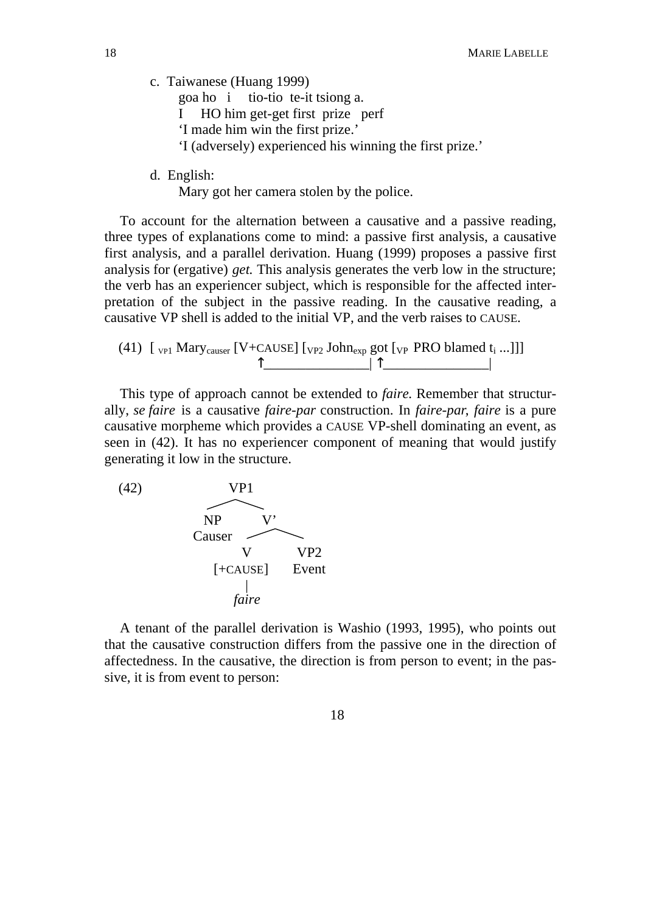c. Taiwanese (Huang 1999)

goa ho i tio-tio te-it tsiong a.

- I HO him get-get first prize perf
- 'I made him win the first prize.'
- 'I (adversely) experienced his winning the first prize.'
- d. English:

Mary got her camera stolen by the police.

To account for the alternation between a causative and a passive reading, three types of explanations come to mind: a passive first analysis, a causative first analysis, and a parallel derivation. Huang (1999) proposes a passive first analysis for (ergative) *get.* This analysis generates the verb low in the structure; the verb has an experiencer subject, which is responsible for the affected interpretation of the subject in the passive reading. In the causative reading, a causative VP shell is added to the initial VP, and the verb raises to CAUSE.

(41) 
$$
[v_{P1} \text{ Mary}_\text{causer} [V + CAUSE] [v_{P2} \text{ John}_\text{exp} \text{ got} [v_P \text{ PRO blamed } t_i \dots]]]
$$

This type of approach cannot be extended to *faire.* Remember that structurally, *se faire* is a causative *faire-par* construction. In *faire-par*, *faire* is a pure causative morpheme which provides a CAUSE VP-shell dominating an event, as seen in (42). It has no experiencer component of meaning that would justify generating it low in the structure.



A tenant of the parallel derivation is Washio (1993, 1995), who points out that the causative construction differs from the passive one in the direction of affectedness. In the causative, the direction is from person to event; in the passive, it is from event to person: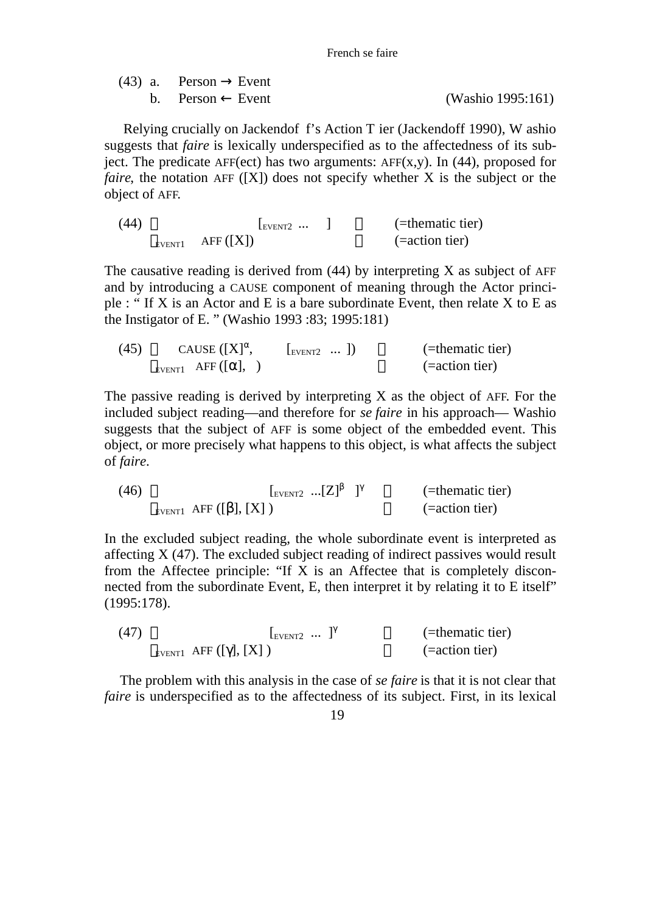French se faire

| $(43)$ a. Person Event |                   |
|------------------------|-------------------|
| b. Person Event        | (Washio 1995:161) |

 Relying crucially on Jackendof f's Action T ier (Jackendoff 1990), W ashio suggests that *faire* is lexically underspecified as to the affectedness of its subject. The predicate AFF(ect) has two arguments:  $AFF(x,y)$ . In (44), proposed for *faire*, the notation AFF ([X]) does not specify whether X is the subject or the object of AFF.

(44)  $\begin{bmatrix} \text{EVENT2} & \cdots & \text{I} \end{bmatrix}$  (=thematic tier)  $E_{\text{EVENT1}}$  AFF  $([X])$  (=action tier)

The causative reading is derived from  $(44)$  by interpreting X as subject of AFF and by introducing a CAUSE component of meaning through the Actor principle : " If X is an Actor and E is a bare subordinate Event, then relate X to E as the Instigator of E. " (Washio 1993 :83; 1995:181)

| (45) | CAUSE $([X],$            | $\lfloor_{\text{EVENT2}} \dots \rfloor$ | (=thematic tier)  |
|------|--------------------------|-----------------------------------------|-------------------|
|      | EVENT1 AFF $($ $\vert$ , |                                         | $(= action tier)$ |

The passive reading is derived by interpreting X as the object of AFF. For the included subject reading—and therefore for *se faire* in his approach— Washio suggests that the subject of AFF is some object of the embedded event. This object, or more precisely what happens to this object, is what affects the subject of *faire.*

(46) 
$$
\begin{array}{cc}\n & \text{[Every12]} \\
\text{[x1]}\n \end{array}
$$
\n(46) 
$$
\begin{array}{cc}\n & \text{[x1]}\n \end{array}
$$
\n(46) 
$$
\begin{array}{cc}\n & \text{[x2]}\n \end{array}
$$
\n(46) 
$$
\begin{array}{cc}\n & \text{[z1]}\n \end{array}
$$
\n(47) 
$$
\begin{array}{cc}\n & \text{[z2]}\n \end{array}
$$
\n(48) 
$$
\begin{array}{cc}\n & \text{[z2]}\n \end{array}
$$

In the excluded subject reading, the whole subordinate event is interpreted as affecting X (47). The excluded subject reading of indirect passives would result from the Affectee principle: "If  $X$  is an Affectee that is completely disconnected from the subordinate Event, E, then interpret it by relating it to E itself" (1995:178).

| (47) | $EVENT2 \cdots$            | (=thematic tier)  |
|------|----------------------------|-------------------|
|      | EVENT1 AFF $([ \; ], [X])$ | $(= action tier)$ |

The problem with this analysis in the case of *se faire* is that it is not clear that *faire* is underspecified as to the affectedness of its subject. First, in its lexical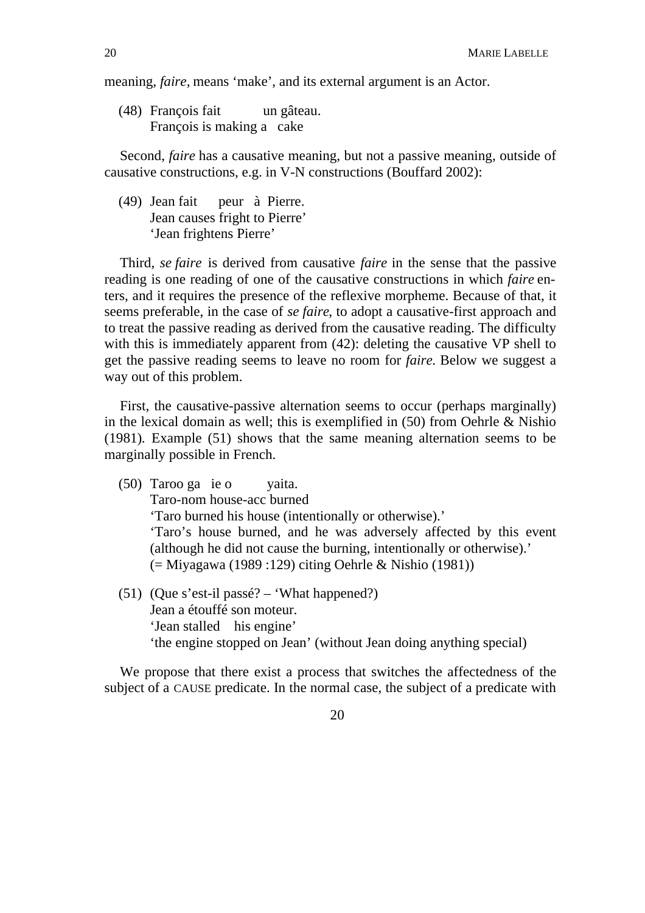meaning, *faire,* means 'make', and its external argument is an Actor.

(48) François fait un gâteau. François is making a cake

Second, *faire* has a causative meaning, but not a passive meaning, outside of causative constructions, e.g. in V-N constructions (Bouffard 2002):

(49) Jean fait peur à Pierre. Jean causes fright to Pierre' 'Jean frightens Pierre'

Third, *se faire* is derived from causative *faire* in the sense that the passive reading is one reading of one of the causative constructions in which *faire* enters, and it requires the presence of the reflexive morpheme. Because of that, it seems preferable, in the case of *se faire*, to adopt a causative-first approach and to treat the passive reading as derived from the causative reading. The difficulty with this is immediately apparent from  $(42)$ : deleting the causative VP shell to get the passive reading seems to leave no room for *faire.* Below we suggest a way out of this problem.

First, the causative-passive alternation seems to occur (perhaps marginally) in the lexical domain as well; this is exemplified in (50) from Oehrle & Nishio (1981)*.* Example (51) shows that the same meaning alternation seems to be marginally possible in French.

- (50) Taroo ga ie o yaita. Taro-nom house-acc burned 'Taro burned his house (intentionally or otherwise).' 'Taro's house burned, and he was adversely affected by this event (although he did not cause the burning, intentionally or otherwise).' (= Miyagawa (1989 :129) citing Oehrle & Nishio (1981))
- (51) (Que s'est-il passé? 'What happened?) Jean a étouffé son moteur. 'Jean stalled his engine' 'the engine stopped on Jean' (without Jean doing anything special)

We propose that there exist a process that switches the affectedness of the subject of a CAUSE predicate. In the normal case, the subject of a predicate with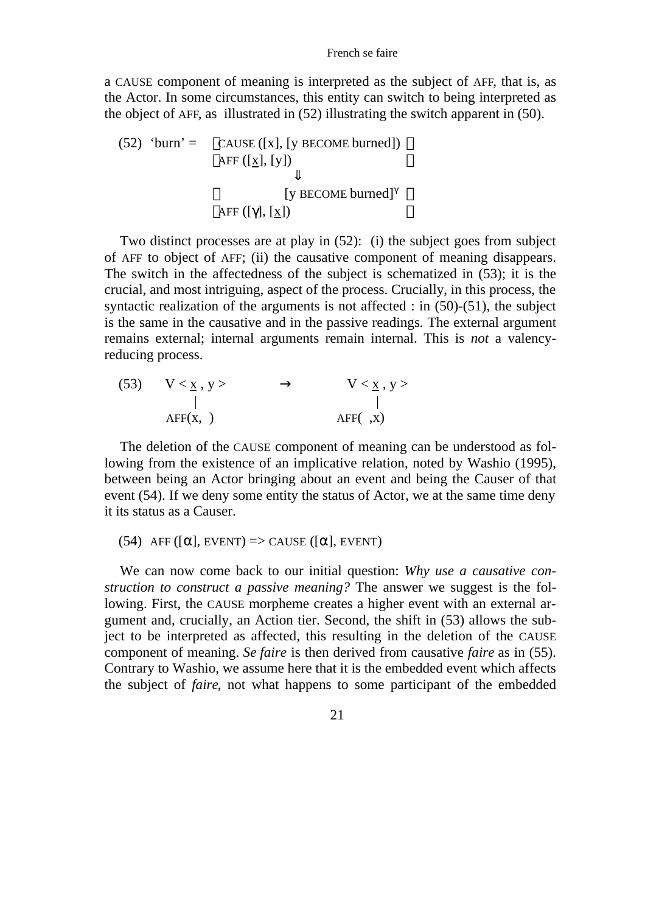a CAUSE component of meaning is interpreted as the subject of AFF, that is, as the Actor. In some circumstances, this entity can switch to being interpreted as the object of AFF, as illustrated in (52) illustrating the switch apparent in (50).

(52) 'burn' =  $CAUSE ([x], [y] BECOME burned])$ AFF  $([x], [y])$  [y BECOME burned] AFF $([$   $], [x])$ 

Two distinct processes are at play in (52): (i) the subject goes from subject of AFF to object of AFF; (ii) the causative component of meaning disappears. The switch in the affectedness of the subject is schematized in (53); it is the crucial, and most intriguing, aspect of the process. Crucially, in this process, the syntactic realization of the arguments is not affected : in (50)-(51), the subject is the same in the causative and in the passive readings*.* The external argument remains external; internal arguments remain internal. This is *not* a valencyreducing process.

(53) 
$$
V < \underline{x}, y >
$$
  
\n $|$   
\n $AFF(x, )$   
\n $V < \underline{x}, y >$   
\n $|$   
\n $AFF(x, x)$ 

The deletion of the CAUSE component of meaning can be understood as following from the existence of an implicative relation, noted by Washio (1995), between being an Actor bringing about an event and being the Causer of that event (54). If we deny some entity the status of Actor, we at the same time deny it its status as a Causer.

 $(54)$  AFF  $(I \mid,$  EVENT $)$  => CAUSE  $(I \mid,$  EVENT $)$ 

We can now come back to our initial question: *Why use a causative construction to construct a passive meaning?* The answer we suggest is the following. First, the CAUSE morpheme creates a higher event with an external argument and, crucially, an Action tier. Second, the shift in (53) allows the subject to be interpreted as affected, this resulting in the deletion of the CAUSE component of meaning. *Se faire* is then derived from causative *faire* as in (55). Contrary to Washio, we assume here that it is the embedded event which affects the subject of *faire*, not what happens to some participant of the embedded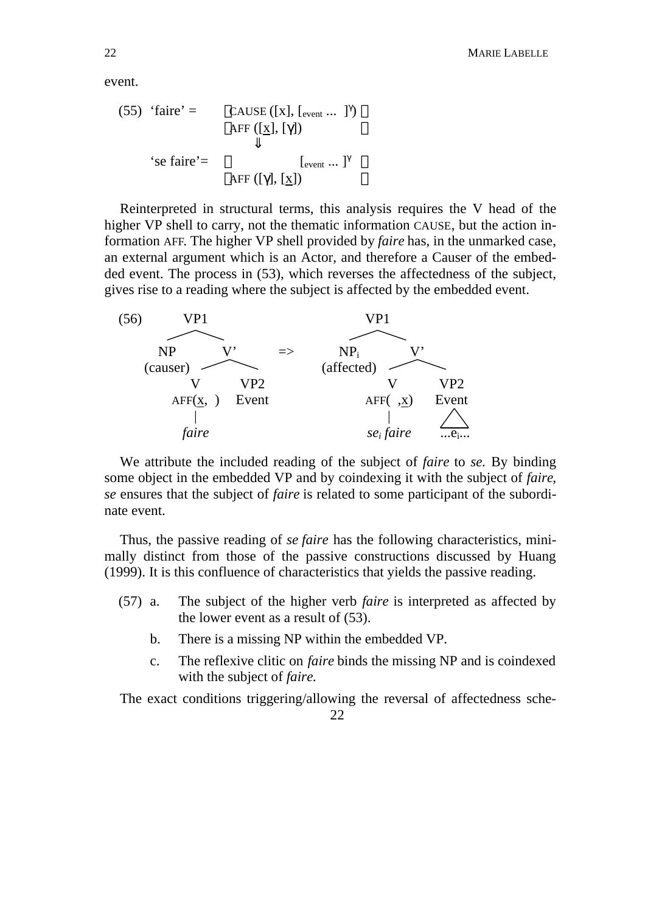event.

(55) 'faire' = 
$$
CAUSE ([x], [_{event} ... ])
$$
  
AFF ([x], [ ])  
'se faire' = 
$$
[_{event} ... ]
$$
  
AFF ([ ], [x])

Reinterpreted in structural terms, this analysis requires the V head of the higher VP shell to carry, not the thematic information CAUSE, but the action information AFF. The higher VP shell provided by *faire* has, in the unmarked case, an external argument which is an Actor, and therefore a Causer of the embedded event. The process in (53), which reverses the affectedness of the subject, gives rise to a reading where the subject is affected by the embedded event.



We attribute the included reading of the subject of *faire* to *se.* By binding some object in the embedded VP and by coindexing it with the subject of *faire*, *se* ensures that the subject of *faire* is related to some participant of the subordinate event.

Thus, the passive reading of *se faire* has the following characteristics, minimally distinct from those of the passive constructions discussed by Huang (1999). It is this confluence of characteristics that yields the passive reading.

- (57) a. The subject of the higher verb *faire* is interpreted as affected by the lower event as a result of (53).
	- b. There is a missing NP within the embedded VP.
	- c. The reflexive clitic on *faire* binds the missing NP and is coindexed with the subject of *faire*.

The exact conditions triggering/allowing the reversal of affectedness sche-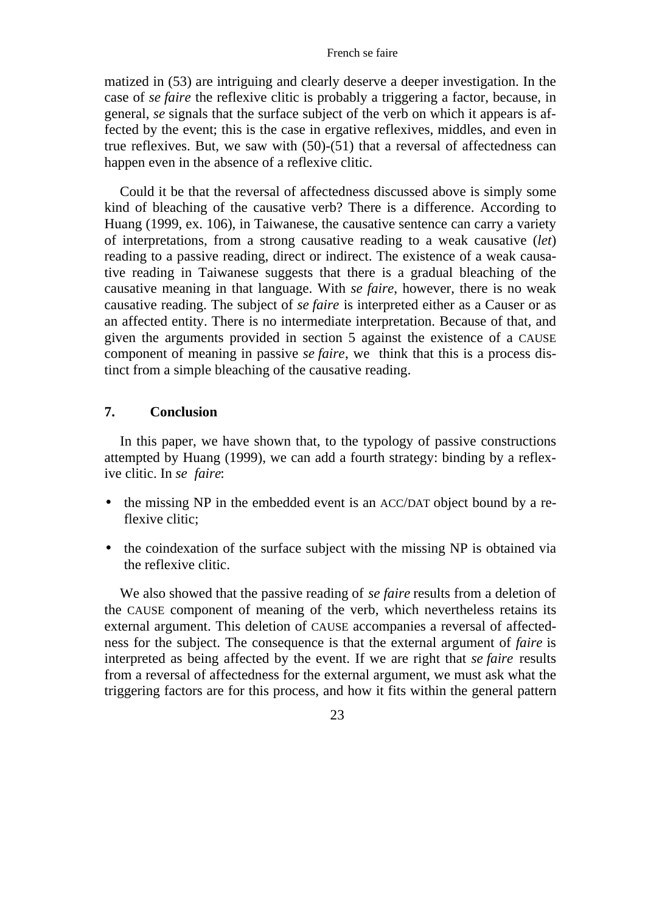#### French se faire

matized in (53) are intriguing and clearly deserve a deeper investigation. In the case of *se faire* the reflexive clitic is probably a triggering a factor, because, in general, *se* signals that the surface subject of the verb on which it appears is affected by the event; this is the case in ergative reflexives, middles, and even in true reflexives. But, we saw with (50)-(51) that a reversal of affectedness can happen even in the absence of a reflexive clitic.

Could it be that the reversal of affectedness discussed above is simply some kind of bleaching of the causative verb? There is a difference. According to Huang (1999, ex. 106), in Taiwanese, the causative sentence can carry a variety of interpretations, from a strong causative reading to a weak causative (*let*) reading to a passive reading, direct or indirect. The existence of a weak causative reading in Taiwanese suggests that there is a gradual bleaching of the causative meaning in that language. With *se faire*, however, there is no weak causative reading. The subject of *se faire* is interpreted either as a Causer or as an affected entity. There is no intermediate interpretation. Because of that, and given the arguments provided in section 5 against the existence of a CAUSE component of meaning in passive *se faire*, we think that this is a process distinct from a simple bleaching of the causative reading.

## **7. Conclusion**

In this paper, we have shown that, to the typology of passive constructions attempted by Huang (1999), we can add a fourth strategy: binding by a reflexive clitic. In *se faire*:

- the missing NP in the embedded event is an ACC/DAT object bound by a reflexive clitic;
- the coindexation of the surface subject with the missing NP is obtained via the reflexive clitic.

We also showed that the passive reading of *se faire* results from a deletion of the CAUSE component of meaning of the verb, which nevertheless retains its external argument. This deletion of CAUSE accompanies a reversal of affectedness for the subject. The consequence is that the external argument of *faire* is interpreted as being affected by the event. If we are right that *se faire* results from a reversal of affectedness for the external argument, we must ask what the triggering factors are for this process, and how it fits within the general pattern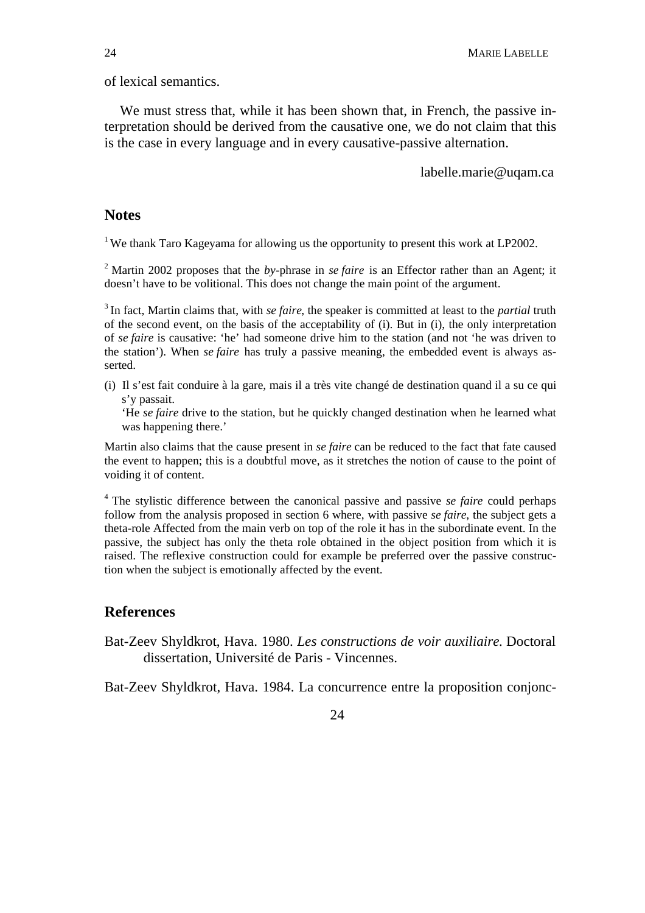of lexical semantics.

We must stress that, while it has been shown that, in French, the passive interpretation should be derived from the causative one, we do not claim that this is the case in every language and in every causative-passive alternation.

labelle.marie@uqam.ca

### **Notes**

<sup>1</sup> We thank Taro Kageyama for allowing us the opportunity to present this work at LP2002.

<sup>2</sup> Martin 2002 proposes that the *by*-phrase in *se faire* is an Effector rather than an Agent; it doesn't have to be volitional. This does not change the main point of the argument.

<sup>3</sup>In fact, Martin claims that, with *se faire*, the speaker is committed at least to the *partial* truth of the second event, on the basis of the acceptability of (i). But in (i), the only interpretation of *se faire* is causative: 'he' had someone drive him to the station (and not 'he was driven to the station'). When *se faire* has truly a passive meaning, the embedded event is always asserted.

(i) Il s'est fait conduire à la gare, mais il a très vite changé de destination quand il a su ce qui s'y passait.

'He *se faire* drive to the station, but he quickly changed destination when he learned what was happening there.'

Martin also claims that the cause present in *se faire* can be reduced to the fact that fate caused the event to happen; this is a doubtful move, as it stretches the notion of cause to the point of voiding it of content.

<sup>4</sup>The stylistic difference between the canonical passive and passive *se faire* could perhaps follow from the analysis proposed in section 6 where, with passive *se faire*, the subject gets a theta-role Affected from the main verb on top of the role it has in the subordinate event. In the passive, the subject has only the theta role obtained in the object position from which it is raised. The reflexive construction could for example be preferred over the passive construction when the subject is emotionally affected by the event.

### **References**

Bat-Zeev Shyldkrot, Hava. 1980. *Les constructions de voir auxiliaire.* Doctoral dissertation, Université de Paris - Vincennes.

Bat-Zeev Shyldkrot, Hava. 1984. La concurrence entre la proposition conjonc-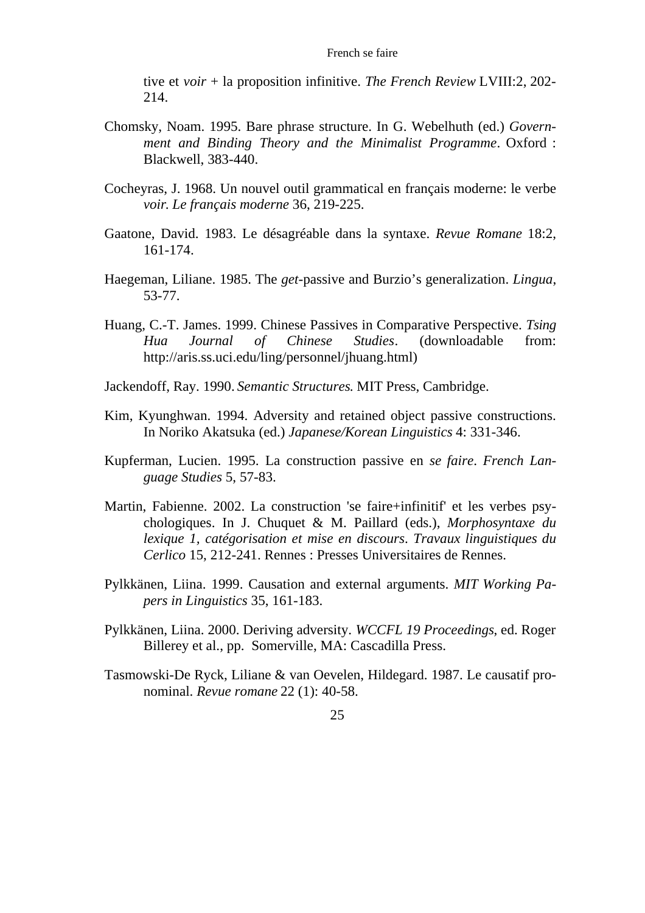tive et *voir* + la proposition infinitive. *The French Review* LVIII:2, 202- 214.

- Chomsky, Noam. 1995. Bare phrase structure. In G. Webelhuth (ed.) *Government and Binding Theory and the Minimalist Programme*. Oxford : Blackwell, 383-440.
- Cocheyras, J. 1968. Un nouvel outil grammatical en français moderne: le verbe *voir*. *Le français moderne* 36, 219-225.
- Gaatone, David. 1983. Le désagréable dans la syntaxe. *Revue Romane* 18:2, 161-174.
- Haegeman, Liliane. 1985. The *get-*passive and Burzio's generalization. *Lingua*, 53-77.
- Huang, C.-T. James. 1999. Chinese Passives in Comparative Perspective. *Tsing Hua Journal of Chinese Studies*. (downloadable from: http://aris.ss.uci.edu/ling/personnel/jhuang.html)
- Jackendoff, Ray. 1990. *Semantic Structures*. MIT Press, Cambridge.
- Kim, Kyunghwan. 1994. Adversity and retained object passive constructions. In Noriko Akatsuka (ed.) *Japanese/Korean Linguistics* 4: 331-346.
- Kupferman, Lucien. 1995. La construction passive en *se faire*. *French Language Studies* 5, 57-83.
- Martin, Fabienne. 2002. La construction 'se faire+infinitif' et les verbes psychologiques. In J. Chuquet & M. Paillard (eds.), *Morphosyntaxe du lexique 1, catégorisation et mise en discours*. *Travaux linguistiques du Cerlico* 15, 212-241. Rennes : Presses Universitaires de Rennes.
- Pylkkänen, Liina. 1999. Causation and external arguments. *MIT Working Papers in Linguistics* 35, 161-183.
- Pylkkänen, Liina. 2000. Deriving adversity. *WCCFL 19 Proceedings*, ed. Roger Billerey et al., pp. Somerville, MA: Cascadilla Press.
- Tasmowski-De Ryck, Liliane & van Oevelen, Hildegard. 1987. Le causatif pronominal. *Revue romane* 22 (1): 40-58.